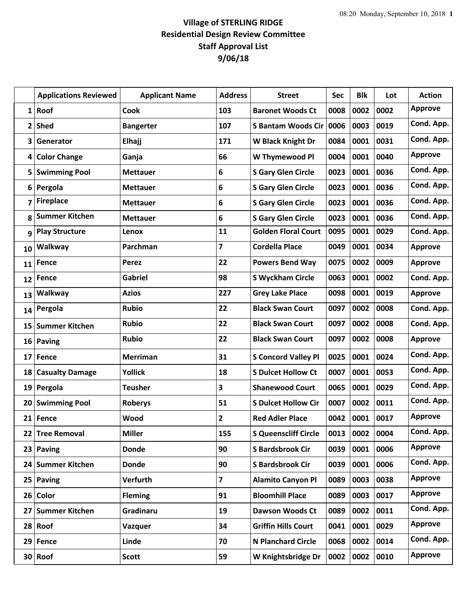## **Village of STERLING RIDGE Residential Design Review Committee Staff Approval List 9/06/18**

|                 | <b>Applications Reviewed</b> | <b>Applicant Name</b> | <b>Address</b>          | <b>Street</b>               | <b>Sec</b> | <b>Blk</b> | Lot  | <b>Action</b>  |
|-----------------|------------------------------|-----------------------|-------------------------|-----------------------------|------------|------------|------|----------------|
| $1\vert$        | Roof                         | <b>Cook</b>           | 103                     | <b>Baronet Woods Ct</b>     | 0008       | 0002       | 0002 | <b>Approve</b> |
| $\mathbf{2}$    | <b>Shed</b>                  | <b>Bangerter</b>      | 107                     | <b>S Bantam Woods Cir</b>   | 0006       | 0003       | 0019 | Cond. App.     |
| 3               | Generator                    | Elhajj                | 171                     | <b>W Black Knight Dr</b>    | 0084       | 0001       | 0031 | Cond. App.     |
| 4               | <b>Color Change</b>          | Ganja                 | 66                      | W Thymewood Pl              | 0004       | 0001       | 0040 | <b>Approve</b> |
| 5               | <b>Swimming Pool</b>         | <b>Mettauer</b>       | 6                       | <b>S Gary Glen Circle</b>   | 0023       | 0001       | 0036 | Cond. App.     |
| 6               | Pergola                      | <b>Mettauer</b>       | 6                       | <b>S Gary Glen Circle</b>   | 0023       | 0001       | 0036 | Cond. App.     |
| 7               | <b>Fireplace</b>             | <b>Mettauer</b>       | 6                       | <b>S Gary Glen Circle</b>   | 0023       | 0001       | 0036 | Cond. App.     |
| 8               | <b>Summer Kitchen</b>        | <b>Mettauer</b>       | 6                       | <b>S Gary Glen Circle</b>   | 0023       | 0001       | 0036 | Cond. App.     |
| 9               | <b>Play Structure</b>        | Lenox                 | 11                      | <b>Golden Floral Court</b>  | 0095       | 0001       | 0029 | Cond. App.     |
| 10              | Walkway                      | Parchman              | $\overline{\mathbf{z}}$ | <b>Cordella Place</b>       | 0049       | 0001       | 0034 | <b>Approve</b> |
| 11              | Fence                        | Perez                 | 22                      | <b>Powers Bend Way</b>      | 0075       | 0002       | 0009 | <b>Approve</b> |
| 12              | Fence                        | <b>Gabriel</b>        | 98                      | <b>S Wyckham Circle</b>     | 0063       | 0001       | 0002 | Cond. App.     |
| 13              | Walkway                      | <b>Azios</b>          | 227                     | <b>Grey Lake Place</b>      | 0098       | 0001       | 0019 | <b>Approve</b> |
| 14              | Pergola                      | <b>Rubio</b>          | 22                      | <b>Black Swan Court</b>     | 0097       | 0002       | 0008 | Cond. App.     |
| 15              | <b>Summer Kitchen</b>        | <b>Rubio</b>          | 22                      | <b>Black Swan Court</b>     | 0097       | 0002       | 0008 | Cond. App.     |
| 16              | <b>Paving</b>                | <b>Rubio</b>          | 22                      | <b>Black Swan Court</b>     | 0097       | 0002       | 0008 | <b>Approve</b> |
| 17 <sup>1</sup> | Fence                        | <b>Merriman</b>       | 31                      | <b>S Concord Valley Pl</b>  | 0025       | 0001       | 0024 | Cond. App.     |
| 18              | <b>Casualty Damage</b>       | <b>Yollick</b>        | 18                      | <b>S Dulcet Hollow Ct</b>   | 0007       | 0001       | 0053 | Cond. App.     |
| 19              | Pergola                      | <b>Teusher</b>        | $\overline{\mathbf{3}}$ | <b>Shanewood Court</b>      | 0065       | 0001       | 0029 | Cond. App.     |
| 20              | <b>Swimming Pool</b>         | <b>Roberys</b>        | 51                      | <b>S Dulcet Hollow Cir</b>  | 0007       | 0002       | 0011 | Cond. App.     |
| 21              | Fence                        | Wood                  | 2                       | <b>Red Adler Place</b>      | 0042       | 0001       | 0017 | <b>Approve</b> |
| 22              | <b>Tree Removal</b>          | <b>Miller</b>         | 155                     | <b>S Queenscliff Circle</b> | 0013       | 0002       | 0004 | Cond. App.     |
| 23              | Paving                       | <b>Donde</b>          | 90                      | <b>S Bardsbrook Cir</b>     | 0039       | 0001       | 0006 | <b>Approve</b> |
| 24 <sub>1</sub> | <b>Summer Kitchen</b>        | <b>Donde</b>          | 90                      | <b>S Bardsbrook Cir</b>     | 0039       | 0001       | 0006 | Cond. App.     |
|                 | 25 Paving                    | <b>Verfurth</b>       | $\overline{\mathbf{z}}$ | <b>Alamito Canyon Pl</b>    | 0089       | 0003       | 0038 | <b>Approve</b> |
| 26              | Color                        | <b>Fleming</b>        | 91                      | <b>Bloomhill Place</b>      | 0089       | 0003       | 0017 | <b>Approve</b> |
| 27              | <b>Summer Kitchen</b>        | Gradinaru             | 19                      | <b>Dawson Woods Ct</b>      | 0089       | 0002       | 0011 | Cond. App.     |
| 28              | Roof                         | Vazquer               | 34                      | <b>Griffin Hills Court</b>  | 0041       | 0001       | 0029 | <b>Approve</b> |
| 29              | Fence                        | Linde                 | 70                      | N Planchard Circle          | 0068       | 0002       | 0014 | Cond. App.     |
|                 | $30$ Roof                    | <b>Scott</b>          | 59                      | W Knightsbridge Dr          | 0002       | 0002       | 0010 | <b>Approve</b> |